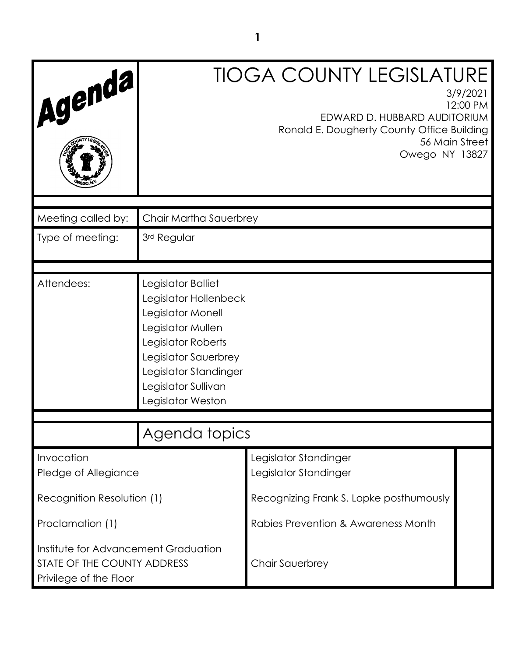| 'Agenda,                                                                                      |                                                                                                                                                                                                          | <b>TIOGA COUNTY LEGISLATURE</b><br>EDWARD D. HUBBARD AUDITORIUM<br>Ronald E. Dougherty County Office Building<br>56 Main Street<br>Owego NY 13827 | 3/9/2021<br>12:00 PM |
|-----------------------------------------------------------------------------------------------|----------------------------------------------------------------------------------------------------------------------------------------------------------------------------------------------------------|---------------------------------------------------------------------------------------------------------------------------------------------------|----------------------|
| Meeting called by:                                                                            | Chair Martha Sauerbrey                                                                                                                                                                                   |                                                                                                                                                   |                      |
| Type of meeting:                                                                              | 3rd Regular                                                                                                                                                                                              |                                                                                                                                                   |                      |
| Attendees:                                                                                    | Legislator Balliet<br>Legislator Hollenbeck<br>Legislator Monell<br>Legislator Mullen<br>Legislator Roberts<br>Legislator Sauerbrey<br>Legislator Standinger<br>Legislator Sullivan<br>Legislator Weston |                                                                                                                                                   |                      |
|                                                                                               | Agenda topics                                                                                                                                                                                            |                                                                                                                                                   |                      |
| Invocation<br>Pledge of Allegiance                                                            |                                                                                                                                                                                                          | Legislator Standinger<br>Legislator Standinger                                                                                                    |                      |
| Recognition Resolution (1)                                                                    |                                                                                                                                                                                                          | Recognizing Frank S. Lopke posthumously                                                                                                           |                      |
| Proclamation (1)                                                                              |                                                                                                                                                                                                          | Rabies Prevention & Awareness Month                                                                                                               |                      |
| Institute for Advancement Graduation<br>STATE OF THE COUNTY ADDRESS<br>Privilege of the Floor |                                                                                                                                                                                                          | Chair Sauerbrey                                                                                                                                   |                      |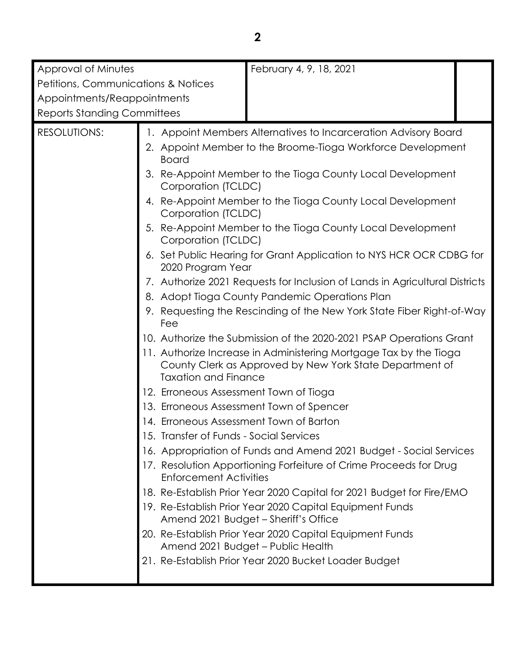| Approval of Minutes                 |                                          | February 4, 9, 18, 2021                                                                                                       |  |
|-------------------------------------|------------------------------------------|-------------------------------------------------------------------------------------------------------------------------------|--|
| Petitions, Communications & Notices |                                          |                                                                                                                               |  |
| Appointments/Reappointments         |                                          |                                                                                                                               |  |
| <b>Reports Standing Committees</b>  |                                          |                                                                                                                               |  |
| <b>RESOLUTIONS:</b>                 |                                          | 1. Appoint Members Alternatives to Incarceration Advisory Board                                                               |  |
|                                     | <b>Board</b>                             | 2. Appoint Member to the Broome-Tioga Workforce Development                                                                   |  |
|                                     | Corporation (TCLDC)                      | 3. Re-Appoint Member to the Tioga County Local Development                                                                    |  |
|                                     | Corporation (TCLDC)                      | 4. Re-Appoint Member to the Tioga County Local Development                                                                    |  |
|                                     | Corporation (TCLDC)                      | 5. Re-Appoint Member to the Tioga County Local Development                                                                    |  |
|                                     | 2020 Program Year                        | 6. Set Public Hearing for Grant Application to NYS HCR OCR CDBG for                                                           |  |
|                                     |                                          | 7. Authorize 2021 Requests for Inclusion of Lands in Agricultural Districts                                                   |  |
|                                     |                                          | 8. Adopt Tioga County Pandemic Operations Plan                                                                                |  |
|                                     | Fee                                      | 9. Requesting the Rescinding of the New York State Fiber Right-of-Way                                                         |  |
|                                     |                                          | 10. Authorize the Submission of the 2020-2021 PSAP Operations Grant                                                           |  |
|                                     | <b>Taxation and Finance</b>              | 11. Authorize Increase in Administering Mortgage Tax by the Tioga<br>County Clerk as Approved by New York State Department of |  |
|                                     | 12. Erroneous Assessment Town of Tioga   |                                                                                                                               |  |
|                                     | 13. Erroneous Assessment Town of Spencer |                                                                                                                               |  |
|                                     | 14. Erroneous Assessment Town of Barton  |                                                                                                                               |  |
|                                     | 15. Transfer of Funds - Social Services  |                                                                                                                               |  |
|                                     |                                          | 16. Appropriation of Funds and Amend 2021 Budget - Social Services                                                            |  |
|                                     | <b>Enforcement Activities</b>            | 17. Resolution Apportioning Forfeiture of Crime Proceeds for Drug                                                             |  |
|                                     |                                          | 18. Re-Establish Prior Year 2020 Capital for 2021 Budget for Fire/EMO                                                         |  |
|                                     |                                          | 19. Re-Establish Prior Year 2020 Capital Equipment Funds<br>Amend 2021 Budget - Sheriff's Office                              |  |
|                                     |                                          | 20. Re-Establish Prior Year 2020 Capital Equipment Funds<br>Amend 2021 Budget - Public Health                                 |  |
|                                     |                                          | 21. Re-Establish Prior Year 2020 Bucket Loader Budget                                                                         |  |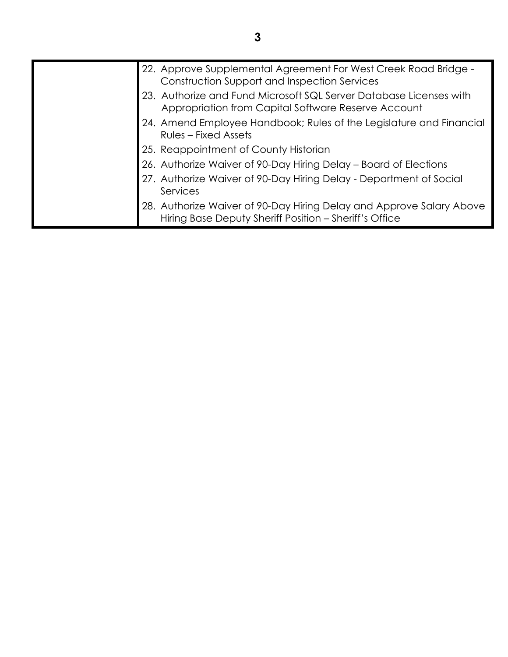| 22. Approve Supplemental Agreement For West Creek Road Bridge -<br><b>Construction Support and Inspection Services</b>         |
|--------------------------------------------------------------------------------------------------------------------------------|
| 23. Authorize and Fund Microsoft SQL Server Database Licenses with<br>Appropriation from Capital Software Reserve Account      |
| 24. Amend Employee Handbook; Rules of the Legislature and Financial<br>Rules – Fixed Assets                                    |
| 25. Reappointment of County Historian                                                                                          |
| 26. Authorize Waiver of 90-Day Hiring Delay - Board of Elections                                                               |
| 27. Authorize Waiver of 90-Day Hiring Delay - Department of Social<br>Services                                                 |
| 28. Authorize Waiver of 90-Day Hiring Delay and Approve Salary Above<br>Hiring Base Deputy Sheriff Position - Sheriff's Office |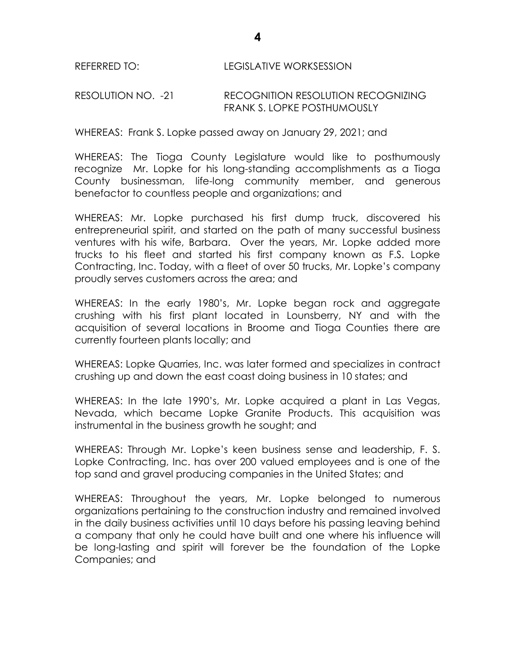REFERRED TO: LEGISLATIVE WORKSESSION

RESOLUTION NO. -21 RECOGNITION RESOLUTION RECOGNIZING FRANK S. LOPKE POSTHUMOUSLY

WHEREAS: Frank S. Lopke passed away on January 29, 2021; and

WHEREAS: The Tioga County Legislature would like to posthumously recognize Mr. Lopke for his long-standing accomplishments as a Tioga County businessman, life-long community member, and generous benefactor to countless people and organizations; and

WHEREAS: Mr. Lopke purchased his first dump truck, discovered his entrepreneurial spirit, and started on the path of many successful business ventures with his wife, Barbara. Over the years, Mr. Lopke added more trucks to his fleet and started his first company known as F.S. Lopke Contracting, Inc. Today, with a fleet of over 50 trucks, Mr. Lopke's company proudly serves customers across the area; and

WHEREAS: In the early 1980's, Mr. Lopke began rock and aggregate crushing with his first plant located in Lounsberry, NY and with the acquisition of several locations in Broome and Tioga Counties there are currently fourteen plants locally; and

WHEREAS: Lopke Quarries, Inc. was later formed and specializes in contract crushing up and down the east coast doing business in 10 states; and

WHEREAS: In the late 1990's, Mr. Lopke acquired a plant in Las Vegas, Nevada, which became Lopke Granite Products. This acquisition was instrumental in the business growth he sought; and

WHEREAS: Through Mr. Lopke's keen business sense and leadership, F. S. Lopke Contracting, Inc. has over 200 valued employees and is one of the top sand and gravel producing companies in the United States; and

WHEREAS: Throughout the years, Mr. Lopke belonged to numerous organizations pertaining to the construction industry and remained involved in the daily business activities until 10 days before his passing leaving behind a company that only he could have built and one where his influence will be long-lasting and spirit will forever be the foundation of the Lopke Companies; and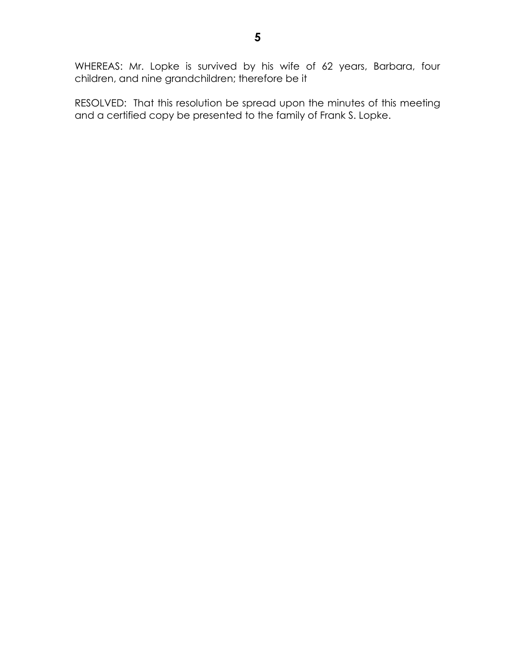WHEREAS: Mr. Lopke is survived by his wife of 62 years, Barbara, four children, and nine grandchildren; therefore be it

RESOLVED: That this resolution be spread upon the minutes of this meeting and a certified copy be presented to the family of Frank S. Lopke.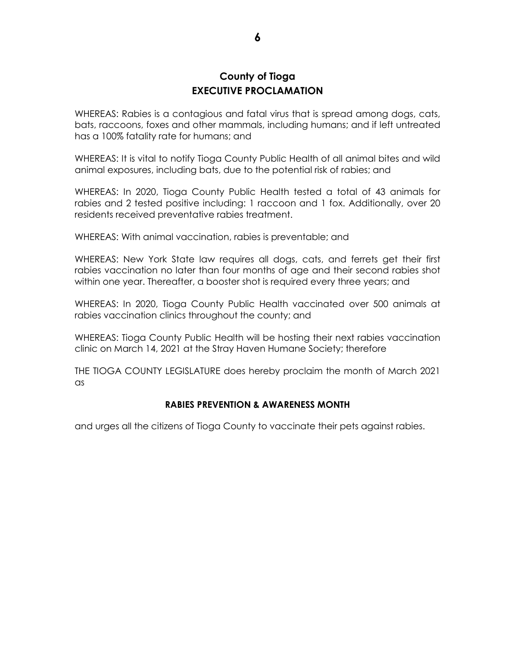## **County of Tioga EXECUTIVE PROCLAMATION**

WHEREAS: Rabies is a contagious and fatal virus that is spread among dogs, cats, bats, raccoons, foxes and other mammals, including humans; and if left untreated has a 100% fatality rate for humans; and

WHEREAS: It is vital to notify Tioga County Public Health of all animal bites and wild animal exposures, including bats, due to the potential risk of rabies; and

WHEREAS: In 2020, Tioga County Public Health tested a total of 43 animals for rabies and 2 tested positive including: 1 raccoon and 1 fox. Additionally, over 20 residents received preventative rabies treatment.

WHEREAS: With animal vaccination, rabies is preventable; and

WHEREAS: New York State law requires all dogs, cats, and ferrets get their first rabies vaccination no later than four months of age and their second rabies shot within one year. Thereafter, a booster shot is required every three years; and

WHEREAS: In 2020, Tioga County Public Health vaccinated over 500 animals at rabies vaccination clinics throughout the county; and

WHEREAS: Tioga County Public Health will be hosting their next rabies vaccination clinic on March 14, 2021 at the Stray Haven Humane Society; therefore

THE TIOGA COUNTY LEGISLATURE does hereby proclaim the month of March 2021 as

## **RABIES PREVENTION & AWARENESS MONTH**

and urges all the citizens of Tioga County to vaccinate their pets against rabies.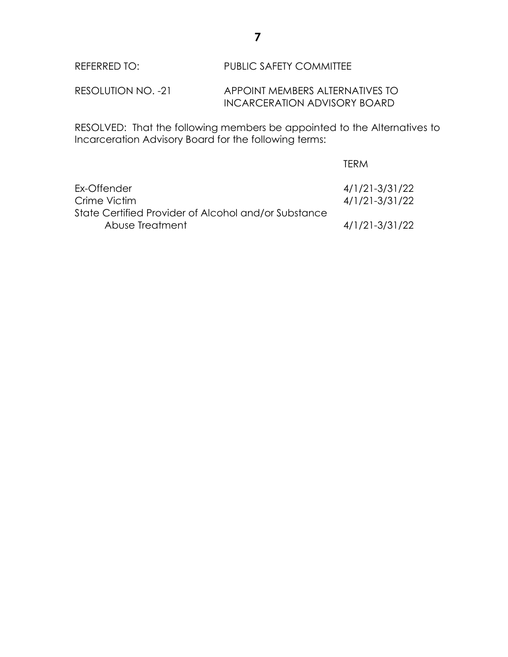RESOLUTION NO. -21 APPOINT MEMBERS ALTERNATIVES TO INCARCERATION ADVISORY BOARD

RESOLVED: That the following members be appointed to the Alternatives to Incarceration Advisory Board for the following terms:

|                                                                         | <b>IFRM</b>                      |
|-------------------------------------------------------------------------|----------------------------------|
| Ex-Offender<br>Crime Victim                                             | 4/1/21-3/31/22<br>4/1/21-3/31/22 |
| State Certified Provider of Alcohol and/or Substance<br>Abuse Treatment | 4/1/21-3/31/22                   |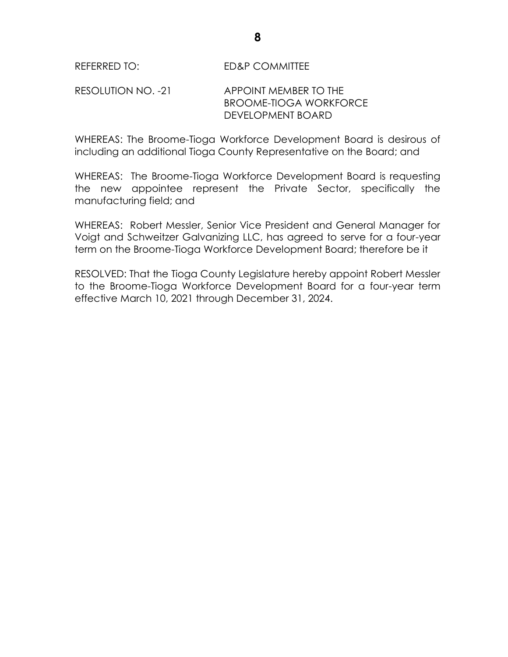## RESOLUTION NO. -21 APPOINT MEMBER TO THE BROOME-TIOGA WORKFORCE DEVELOPMENT BOARD

WHEREAS: The Broome-Tioga Workforce Development Board is desirous of including an additional Tioga County Representative on the Board; and

WHEREAS: The Broome-Tioga Workforce Development Board is requesting the new appointee represent the Private Sector, specifically the manufacturing field; and

WHEREAS: Robert Messler, Senior Vice President and General Manager for Voigt and Schweitzer Galvanizing LLC, has agreed to serve for a four-year term on the Broome-Tioga Workforce Development Board; therefore be it

RESOLVED: That the Tioga County Legislature hereby appoint Robert Messler to the Broome-Tioga Workforce Development Board for a four-year term effective March 10, 2021 through December 31, 2024.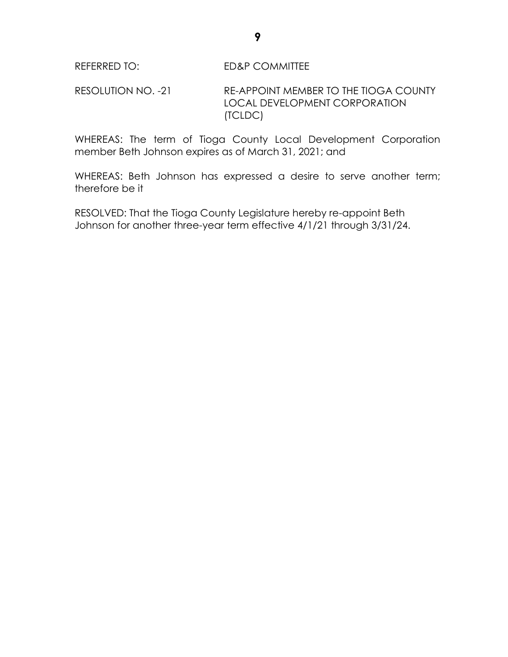RESOLUTION NO. -21 RE-APPOINT MEMBER TO THE TIOGA COUNTY LOCAL DEVELOPMENT CORPORATION (TCLDC)

WHEREAS: The term of Tioga County Local Development Corporation member Beth Johnson expires as of March 31, 2021; and

WHEREAS: Beth Johnson has expressed a desire to serve another term; therefore be it

RESOLVED: That the Tioga County Legislature hereby re-appoint Beth Johnson for another three-year term effective 4/1/21 through 3/31/24.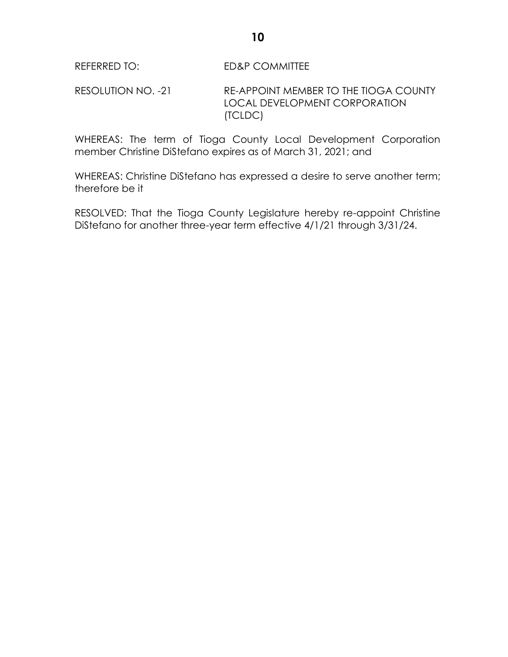## REFERRED TO: ED&P COMMITTEE

RESOLUTION NO. -21 RE-APPOINT MEMBER TO THE TIOGA COUNTY LOCAL DEVELOPMENT CORPORATION (TCLDC)

WHEREAS: The term of Tioga County Local Development Corporation member Christine DiStefano expires as of March 31, 2021; and

WHEREAS: Christine DiStefano has expressed a desire to serve another term; therefore be it

RESOLVED: That the Tioga County Legislature hereby re-appoint Christine DiStefano for another three-year term effective 4/1/21 through 3/31/24.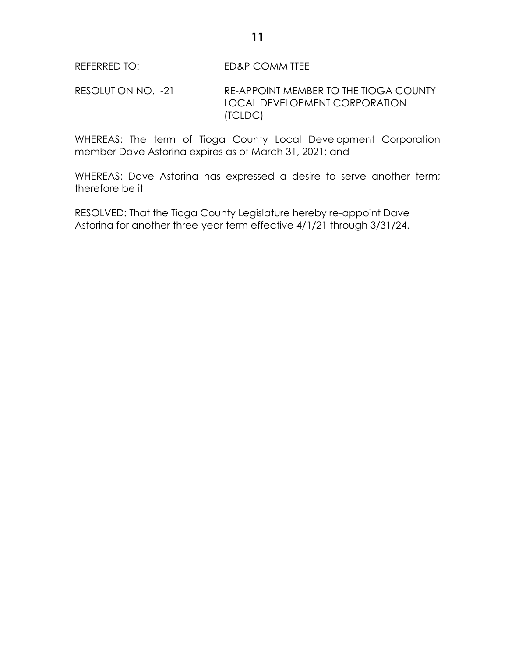## REFERRED TO: ED&P COMMITTEE

RESOLUTION NO. -21 RE-APPOINT MEMBER TO THE TIOGA COUNTY LOCAL DEVELOPMENT CORPORATION (TCLDC)

WHEREAS: The term of Tioga County Local Development Corporation member Dave Astorina expires as of March 31, 2021; and

WHEREAS: Dave Astorina has expressed a desire to serve another term; therefore be it

RESOLVED: That the Tioga County Legislature hereby re-appoint Dave Astorina for another three-year term effective 4/1/21 through 3/31/24.

## **11**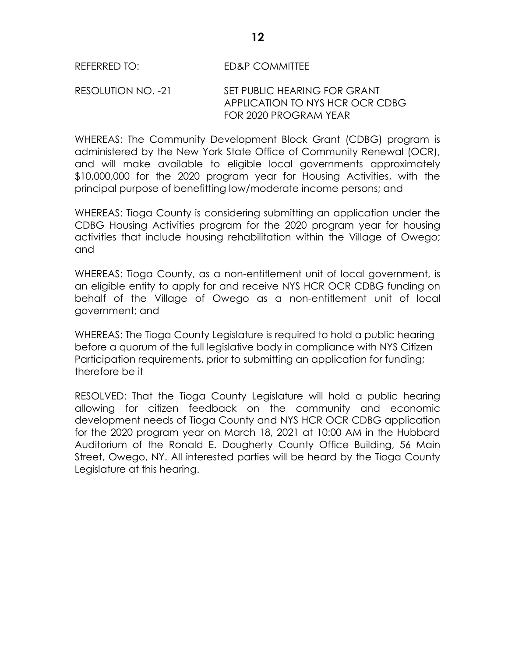## RESOLUTION NO. -21 SET PUBLIC HEARING FOR GRANT APPLICATION TO NYS HCR OCR CDBG FOR 2020 PROGRAM YEAR

WHEREAS: The Community Development Block Grant (CDBG) program is administered by the New York State Office of Community Renewal (OCR), and will make available to eligible local governments approximately \$10,000,000 for the 2020 program year for Housing Activities, with the principal purpose of benefitting low/moderate income persons; and

WHEREAS: Tioga County is considering submitting an application under the CDBG Housing Activities program for the 2020 program year for housing activities that include housing rehabilitation within the Village of Owego; and

WHEREAS: Tioga County, as a non-entitlement unit of local government, is an eligible entity to apply for and receive NYS HCR OCR CDBG funding on behalf of the Village of Owego as a non-entitlement unit of local government; and

WHEREAS: The Tioga County Legislature is required to hold a public hearing before a quorum of the full legislative body in compliance with NYS Citizen Participation requirements, prior to submitting an application for funding; therefore be it

RESOLVED: That the Tioga County Legislature will hold a public hearing allowing for citizen feedback on the community and economic development needs of Tioga County and NYS HCR OCR CDBG application for the 2020 program year on March 18, 2021 at 10:00 AM in the Hubbard Auditorium of the Ronald E. Dougherty County Office Building, 56 Main Street, Owego, NY. All interested parties will be heard by the Tioga County Legislature at this hearing.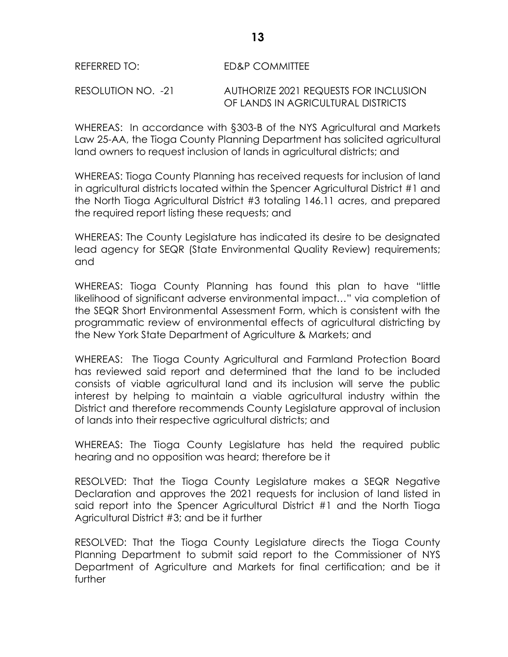## REFERRED TO: ED&P COMMITTEE

RESOLUTION NO. -21 AUTHORIZE 2021 REQUESTS FOR INCLUSION OF LANDS IN AGRICULTURAL DISTRICTS

WHEREAS: In accordance with §303-B of the NYS Agricultural and Markets Law 25-AA, the Tioga County Planning Department has solicited agricultural land owners to request inclusion of lands in agricultural districts; and

WHEREAS: Tioga County Planning has received requests for inclusion of land in agricultural districts located within the Spencer Agricultural District #1 and the North Tioga Agricultural District #3 totaling 146.11 acres, and prepared the required report listing these requests; and

WHEREAS: The County Legislature has indicated its desire to be designated lead agency for SEQR (State Environmental Quality Review) requirements; and

WHEREAS: Tioga County Planning has found this plan to have "little likelihood of significant adverse environmental impact…" via completion of the SEQR Short Environmental Assessment Form, which is consistent with the programmatic review of environmental effects of agricultural districting by the New York State Department of Agriculture & Markets; and

WHEREAS: The Tioga County Agricultural and Farmland Protection Board has reviewed said report and determined that the land to be included consists of viable agricultural land and its inclusion will serve the public interest by helping to maintain a viable agricultural industry within the District and therefore recommends County Legislature approval of inclusion of lands into their respective agricultural districts; and

WHEREAS: The Tioga County Legislature has held the required public hearing and no opposition was heard; therefore be it

RESOLVED: That the Tioga County Legislature makes a SEQR Negative Declaration and approves the 2021 requests for inclusion of land listed in said report into the Spencer Agricultural District #1 and the North Tioga Agricultural District #3; and be it further

RESOLVED: That the Tioga County Legislature directs the Tioga County Planning Department to submit said report to the Commissioner of NYS Department of Agriculture and Markets for final certification; and be it further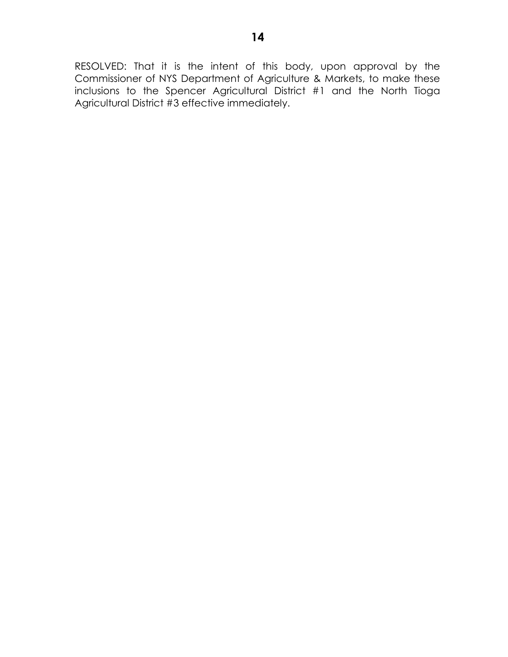RESOLVED: That it is the intent of this body, upon approval by the Commissioner of NYS Department of Agriculture & Markets, to make these inclusions to the Spencer Agricultural District #1 and the North Tioga Agricultural District #3 effective immediately.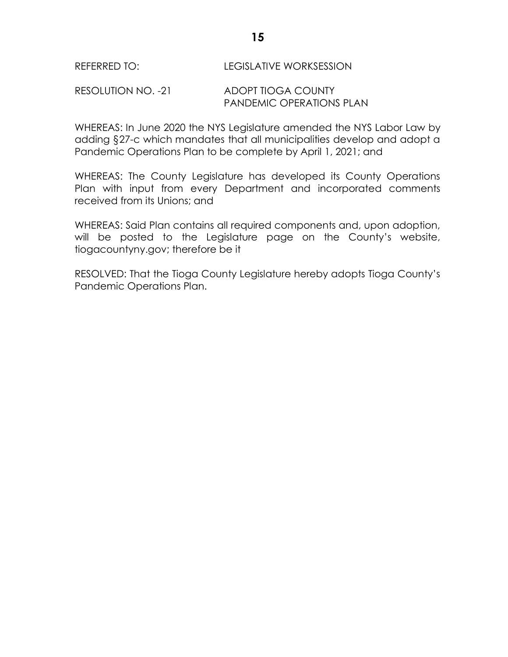## REFERRED TO: LEGISLATIVE WORKSESSION

## RESOLUTION NO. -21 ADOPT TIOGA COUNTY PANDEMIC OPERATIONS PLAN

WHEREAS: In June 2020 the NYS Legislature amended the NYS Labor Law by adding §27-c which mandates that all municipalities develop and adopt a Pandemic Operations Plan to be complete by April 1, 2021; and

WHEREAS: The County Legislature has developed its County Operations Plan with input from every Department and incorporated comments received from its Unions; and

WHEREAS: Said Plan contains all required components and, upon adoption, will be posted to the Legislature page on the County's website, tiogacountyny.gov; therefore be it

RESOLVED: That the Tioga County Legislature hereby adopts Tioga County's Pandemic Operations Plan.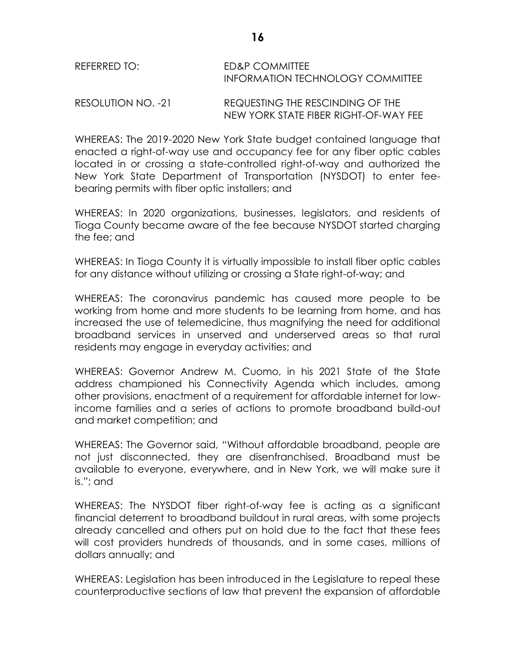| REFERRED TO: | ED&P COMMITTEE                          |
|--------------|-----------------------------------------|
|              | <b>INFORMATION TECHNOLOGY COMMITTEE</b> |
|              |                                         |

RESOLUTION NO. -21 REQUESTING THE RESCINDING OF THE NEW YORK STATE FIBER RIGHT-OF-WAY FEE

WHEREAS: The 2019-2020 New York State budget contained language that enacted a right-of-way use and occupancy fee for any fiber optic cables located in or crossing a state-controlled right-of-way and authorized the New York State Department of Transportation (NYSDOT) to enter feebearing permits with fiber optic installers; and

WHEREAS: In 2020 organizations, businesses, legislators, and residents of Tioga County became aware of the fee because NYSDOT started charging the fee; and

WHEREAS: In Tioga County it is virtually impossible to install fiber optic cables for any distance without utilizing or crossing a State right-of-way; and

WHEREAS: The coronavirus pandemic has caused more people to be working from home and more students to be learning from home, and has increased the use of telemedicine, thus magnifying the need for additional broadband services in unserved and underserved areas so that rural residents may engage in everyday activities; and

WHEREAS: Governor Andrew M. Cuomo, in his 2021 State of the State address championed his Connectivity Agenda which includes, among other provisions, enactment of a requirement for affordable internet for lowincome families and a series of actions to promote broadband build-out and market competition; and

WHEREAS: The Governor said, "Without affordable broadband, people are not just disconnected, they are disenfranchised. Broadband must be available to everyone, everywhere, and in New York, we will make sure it is."; and

WHEREAS: The NYSDOT fiber right-of-way fee is acting as a significant financial deterrent to broadband buildout in rural areas, with some projects already cancelled and others put on hold due to the fact that these fees will cost providers hundreds of thousands, and in some cases, millions of dollars annually; and

WHEREAS: Legislation has been introduced in the Legislature to repeal these counterproductive sections of law that prevent the expansion of affordable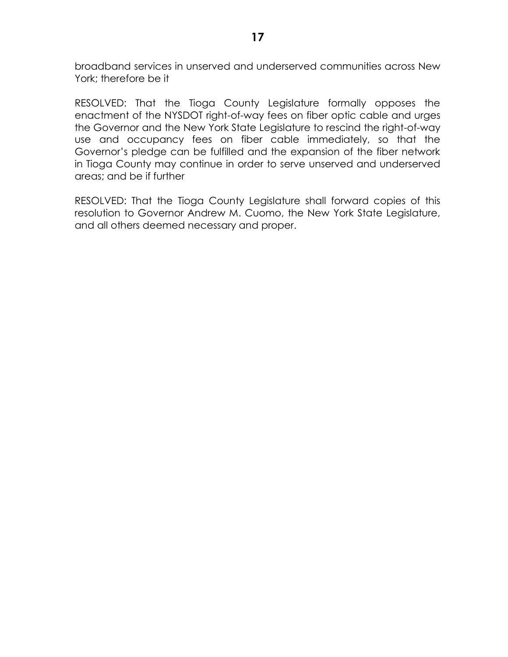broadband services in unserved and underserved communities across New York; therefore be it

RESOLVED: That the Tioga County Legislature formally opposes the enactment of the NYSDOT right-of-way fees on fiber optic cable and urges the Governor and the New York State Legislature to rescind the right-of-way use and occupancy fees on fiber cable immediately, so that the Governor's pledge can be fulfilled and the expansion of the fiber network in Tioga County may continue in order to serve unserved and underserved areas; and be if further

RESOLVED: That the Tioga County Legislature shall forward copies of this resolution to Governor Andrew M. Cuomo, the New York State Legislature, and all others deemed necessary and proper.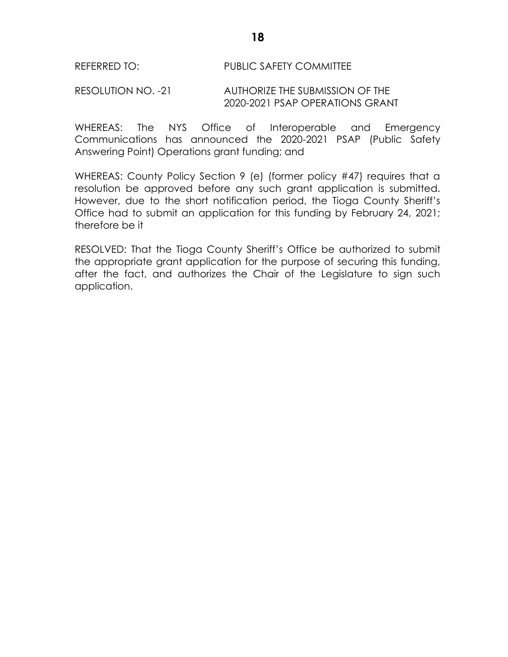#### REFERRED TO: PUBLIC SAFETY COMMITTEE

#### RESOLUTION NO. -21 AUTHORIZE THE SUBMISSION OF THE 2020-2021 PSAP OPERATIONS GRANT

WHEREAS: The NYS Office of Interoperable and Emergency Communications has announced the 2020-2021 PSAP (Public Safety Answering Point) Operations grant funding; and

WHEREAS: County Policy Section 9 (e) (former policy #47) requires that a resolution be approved before any such grant application is submitted. However, due to the short notification period, the Tioga County Sheriff's Office had to submit an application for this funding by February 24, 2021; therefore be it

RESOLVED: That the Tioga County Sheriff's Office be authorized to submit the appropriate grant application for the purpose of securing this funding, after the fact, and authorizes the Chair of the Legislature to sign such application.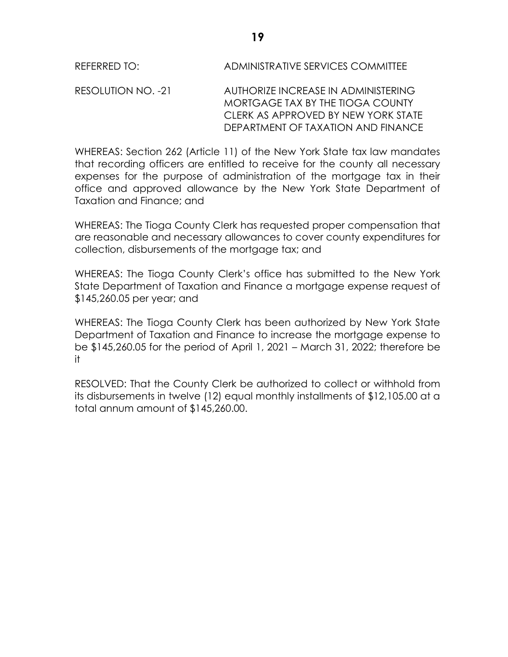REFERRED TO: ADMINISTRATIVE SERVICES COMMITTEE

RESOLUTION NO. -21 AUTHORIZE INCREASE IN ADMINISTERING MORTGAGE TAX BY THE TIOGA COUNTY CLERK AS APPROVED BY NEW YORK STATE DEPARTMENT OF TAXATION AND FINANCE

WHEREAS: Section 262 (Article 11) of the New York State tax law mandates that recording officers are entitled to receive for the county all necessary expenses for the purpose of administration of the mortgage tax in their office and approved allowance by the New York State Department of Taxation and Finance; and

WHEREAS: The Tioga County Clerk has requested proper compensation that are reasonable and necessary allowances to cover county expenditures for collection, disbursements of the mortgage tax; and

WHEREAS: The Tioga County Clerk's office has submitted to the New York State Department of Taxation and Finance a mortgage expense request of \$145,260.05 per year; and

WHEREAS: The Tioga County Clerk has been authorized by New York State Department of Taxation and Finance to increase the mortgage expense to be \$145,260.05 for the period of April 1, 2021 – March 31, 2022; therefore be it

RESOLVED: That the County Clerk be authorized to collect or withhold from its disbursements in twelve (12) equal monthly installments of \$12,105.00 at a total annum amount of \$145,260.00.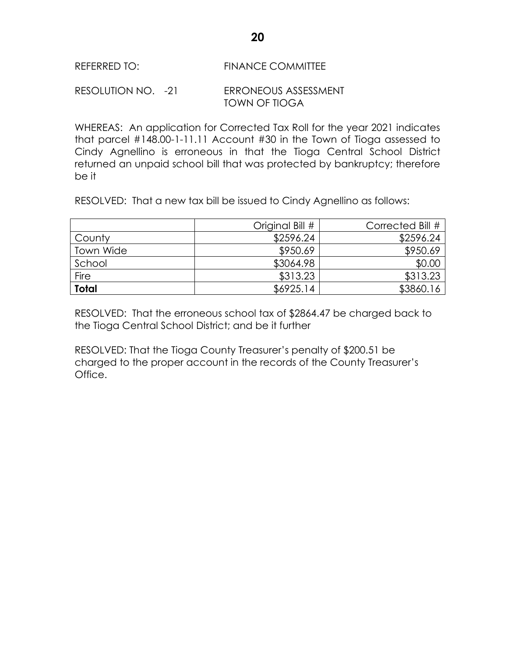## REFERRED TO: FINANCE COMMITTEE

## RESOLUTION NO. -21 ERRONEOUS ASSESSMENT TOWN OF TIOGA

WHEREAS: An application for Corrected Tax Roll for the year 2021 indicates that parcel #148.00-1-11.11 Account #30 in the Town of Tioga assessed to Cindy Agnellino is erroneous in that the Tioga Central School District returned an unpaid school bill that was protected by bankruptcy; therefore be it

RESOLVED: That a new tax bill be issued to Cindy Agnellino as follows:

|                  | Original Bill # | Corrected Bill # |
|------------------|-----------------|------------------|
| County           | \$2596.24       | \$2596.24        |
| <b>Town Wide</b> | \$950.69        | \$950.69         |
| School           | \$3064.98       | \$0.00           |
| Fire             | \$313.23        | \$313.23         |
| <b>Total</b>     | \$6925.14       | \$3860.16        |

RESOLVED: That the erroneous school tax of \$2864.47 be charged back to the Tioga Central School District; and be it further

RESOLVED: That the Tioga County Treasurer's penalty of \$200.51 be charged to the proper account in the records of the County Treasurer's Office.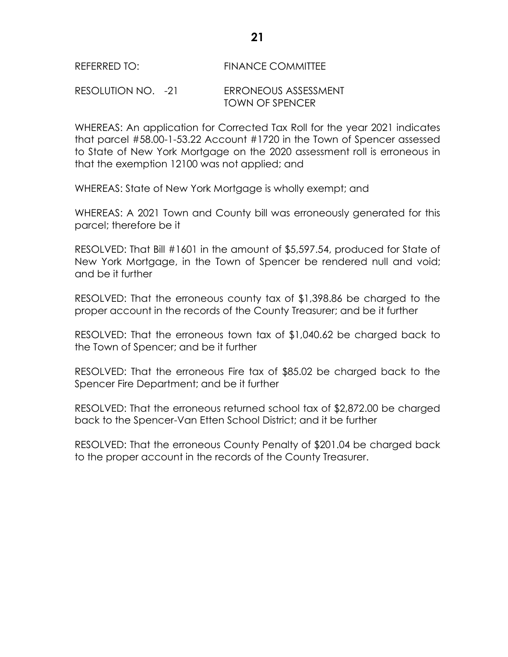#### REFERRED TO: FINANCE COMMITTEE

#### RESOLUTION NO. -21 ERRONEOUS ASSESSMENT TOWN OF SPENCER

WHEREAS: An application for Corrected Tax Roll for the year 2021 indicates that parcel #58.00-1-53.22 Account #1720 in the Town of Spencer assessed to State of New York Mortgage on the 2020 assessment roll is erroneous in that the exemption 12100 was not applied; and

WHEREAS: State of New York Mortgage is wholly exempt; and

WHEREAS: A 2021 Town and County bill was erroneously generated for this parcel; therefore be it

RESOLVED: That Bill #1601 in the amount of \$5,597.54, produced for State of New York Mortgage, in the Town of Spencer be rendered null and void; and be it further

RESOLVED: That the erroneous county tax of \$1,398.86 be charged to the proper account in the records of the County Treasurer; and be it further

RESOLVED: That the erroneous town tax of \$1,040.62 be charged back to the Town of Spencer; and be it further

RESOLVED: That the erroneous Fire tax of \$85.02 be charged back to the Spencer Fire Department; and be it further

RESOLVED: That the erroneous returned school tax of \$2,872.00 be charged back to the Spencer-Van Etten School District; and it be further

RESOLVED: That the erroneous County Penalty of \$201.04 be charged back to the proper account in the records of the County Treasurer.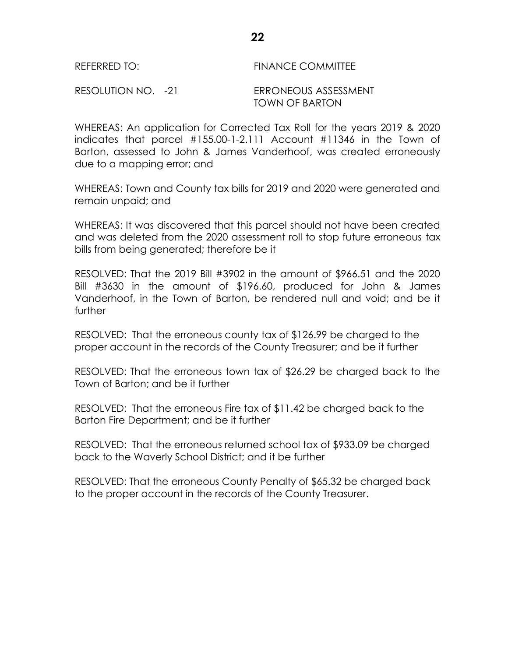| REFERRED TO: | <b>FINANCE COMMITTEE</b> |
|--------------|--------------------------|
|              |                          |

RESOLUTION NO. -21 ERRONEOUS ASSESSMENT TOWN OF BARTON

WHEREAS: An application for Corrected Tax Roll for the years 2019 & 2020 indicates that parcel #155.00-1-2.111 Account #11346 in the Town of Barton, assessed to John & James Vanderhoof, was created erroneously due to a mapping error; and

WHEREAS: Town and County tax bills for 2019 and 2020 were generated and remain unpaid; and

WHEREAS: It was discovered that this parcel should not have been created and was deleted from the 2020 assessment roll to stop future erroneous tax bills from being generated; therefore be it

RESOLVED: That the 2019 Bill #3902 in the amount of \$966.51 and the 2020 Bill #3630 in the amount of \$196.60, produced for John & James Vanderhoof, in the Town of Barton, be rendered null and void; and be it further

RESOLVED: That the erroneous county tax of \$126.99 be charged to the proper account in the records of the County Treasurer; and be it further

RESOLVED: That the erroneous town tax of \$26.29 be charged back to the Town of Barton; and be it further

RESOLVED: That the erroneous Fire tax of \$11.42 be charged back to the Barton Fire Department; and be it further

RESOLVED: That the erroneous returned school tax of \$933.09 be charged back to the Waverly School District; and it be further

RESOLVED: That the erroneous County Penalty of \$65.32 be charged back to the proper account in the records of the County Treasurer.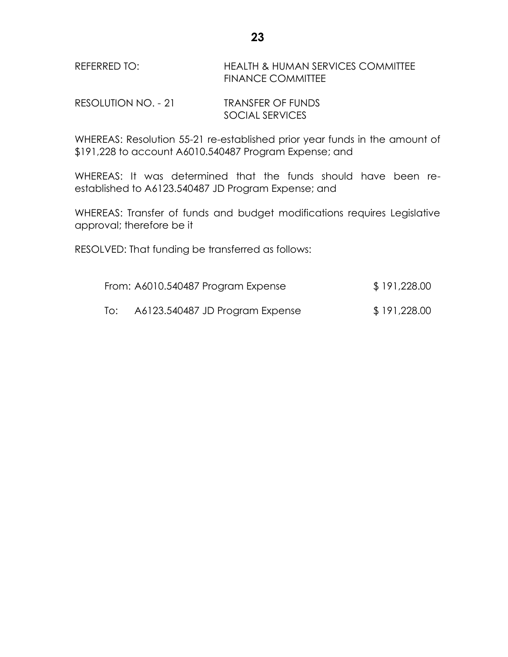| REFERRED TO: | <b>HEALTH &amp; HUMAN SERVICES COMMITTEE</b> |
|--------------|----------------------------------------------|
|              | <b>FINANCE COMMITTEE</b>                     |

| RESOLUTION NO. - 21 | <b>TRANSFER OF FUNDS</b> |
|---------------------|--------------------------|
|                     | SOCIAL SERVICES          |

WHEREAS: Resolution 55-21 re-established prior year funds in the amount of \$191,228 to account A6010.540487 Program Expense; and

WHEREAS: It was determined that the funds should have been reestablished to A6123.540487 JD Program Expense; and

WHEREAS: Transfer of funds and budget modifications requires Legislative approval; therefore be it

RESOLVED: That funding be transferred as follows:

|     | From: A6010.540487 Program Expense | \$191,228.00 |
|-----|------------------------------------|--------------|
| To: | A6123.540487 JD Program Expense    | \$191,228.00 |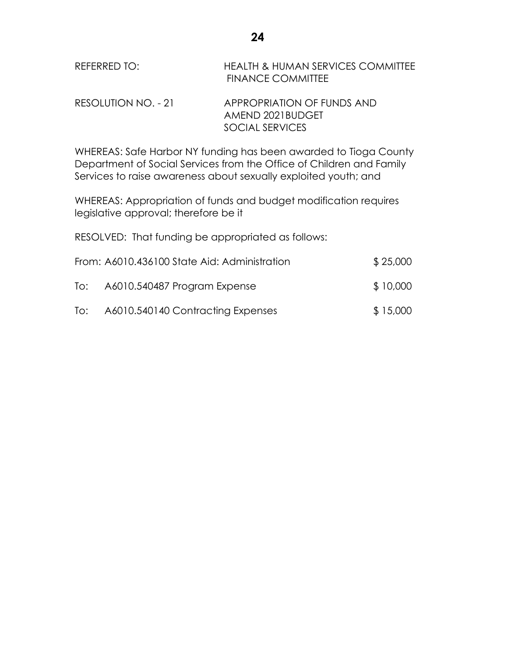| REFERRED TO:        | <b>HEALTH &amp; HUMAN SERVICES COMMITTEE</b><br>FINANCE COMMITTEE |
|---------------------|-------------------------------------------------------------------|
| RESOLUTION NO. - 21 | APPROPRIATION OF FUNDS AND<br>AMEND 2021BUDGET                    |

WHEREAS: Safe Harbor NY funding has been awarded to Tioga County Department of Social Services from the Office of Children and Family Services to raise awareness about sexually exploited youth; and

WHEREAS: Appropriation of funds and budget modification requires legislative approval; therefore be it

RESOLVED: That funding be appropriated as follows:

|     | From: A6010.436100 State Aid: Administration | \$25,000 |
|-----|----------------------------------------------|----------|
| To: | A6010.540487 Program Expense                 | \$10,000 |
| To: | A6010.540140 Contracting Expenses            | \$15,000 |

SOCIAL SERVICES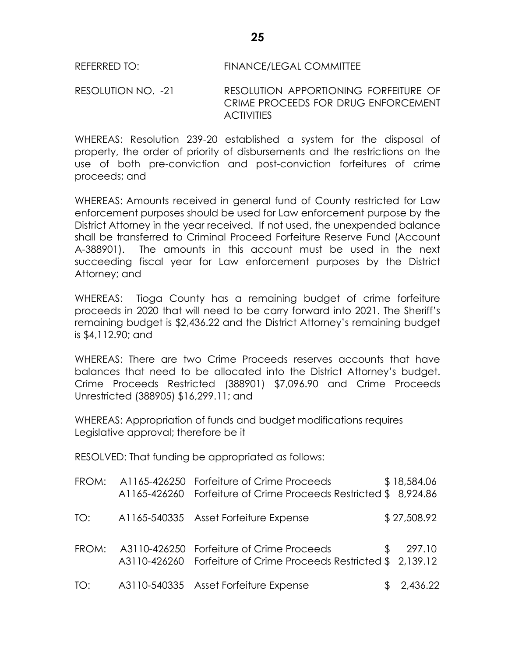RESOLUTION NO. -21 RESOLUTION APPORTIONING FORFEITURE OF CRIME PROCEEDS FOR DRUG ENFORCEMENT **ACTIVITIES** 

WHEREAS: Resolution 239-20 established a system for the disposal of property, the order of priority of disbursements and the restrictions on the use of both pre-conviction and post-conviction forfeitures of crime proceeds; and

WHEREAS: Amounts received in general fund of County restricted for Law enforcement purposes should be used for Law enforcement purpose by the District Attorney in the year received. If not used, the unexpended balance shall be transferred to Criminal Proceed Forfeiture Reserve Fund (Account A-388901). The amounts in this account must be used in the next succeeding fiscal year for Law enforcement purposes by the District Attorney; and

WHEREAS: Tioga County has a remaining budget of crime forfeiture proceeds in 2020 that will need to be carry forward into 2021. The Sheriff's remaining budget is \$2,436.22 and the District Attorney's remaining budget is \$4,112.90; and

WHEREAS: There are two Crime Proceeds reserves accounts that have balances that need to be allocated into the District Attorney's budget. Crime Proceeds Restricted (388901) \$7,096.90 and Crime Proceeds Unrestricted (388905) \$16,299.11; and

WHEREAS: Appropriation of funds and budget modifications requires Legislative approval; therefore be it

RESOLVED: That funding be appropriated as follows:

| FROM: | A1165-426250 Forfeiture of Crime Proceeds<br>A1165-426260 Forfeiture of Crime Proceeds Restricted \$8,924.86 | \$18,584.06  |
|-------|--------------------------------------------------------------------------------------------------------------|--------------|
| TO:   | A1165-540335 Asset Forfeiture Expense                                                                        | \$27,508.92  |
| FROM: | A3110-426250 Forfeiture of Crime Proceeds<br>A3110-426260 Forfeiture of Crime Proceeds Restricted \$2,139.12 | \$<br>297.10 |
| TO:   | A3110-540335 Asset Forfeiture Expense                                                                        | \$2,436.22   |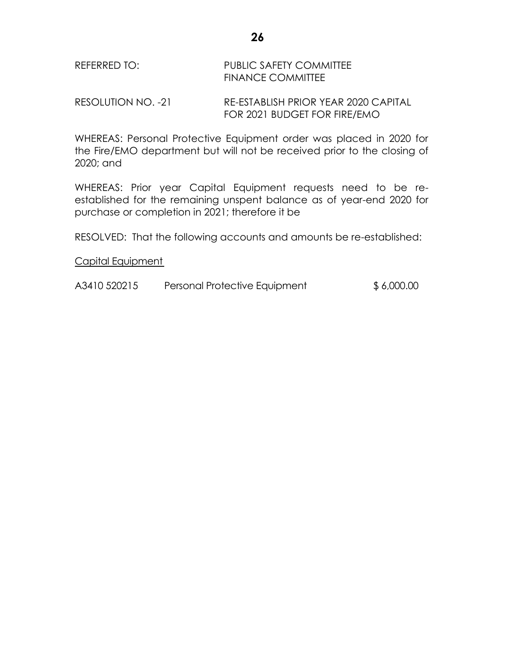# REFERRED TO: PUBLIC SAFETY COMMITTEE FINANCE COMMITTEE

RESOLUTION NO. -21 RE-ESTABLISH PRIOR YEAR 2020 CAPITAL FOR 2021 BUDGET FOR FIRE/EMO

WHEREAS: Personal Protective Equipment order was placed in 2020 for the Fire/EMO department but will not be received prior to the closing of 2020; and

WHEREAS: Prior year Capital Equipment requests need to be reestablished for the remaining unspent balance as of year-end 2020 for purchase or completion in 2021; therefore it be

RESOLVED: That the following accounts and amounts be re-established:

## Capital Equipment

A3410 520215 Personal Protective Equipment \$ 6,000.00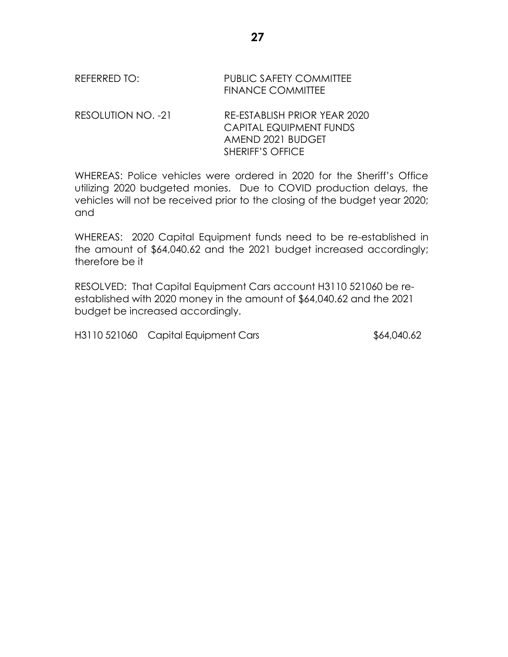| REFERRED TO:       | <b>PUBLIC SAFETY COMMITTEE</b><br><b>FINANCE COMMITTEE</b>                                                     |
|--------------------|----------------------------------------------------------------------------------------------------------------|
| RESOLUTION NO. -21 | RE-ESTABLISH PRIOR YEAR 2020<br><b>CAPITAL EQUIPMENT FUNDS</b><br>AMEND 2021 BUDGET<br><b>SHERIFF'S OFFICE</b> |

WHEREAS: Police vehicles were ordered in 2020 for the Sheriff's Office utilizing 2020 budgeted monies. Due to COVID production delays, the vehicles will not be received prior to the closing of the budget year 2020; and

WHEREAS: 2020 Capital Equipment funds need to be re-established in the amount of \$64,040.62 and the 2021 budget increased accordingly; therefore be it

RESOLVED: That Capital Equipment Cars account H3110 521060 be reestablished with 2020 money in the amount of \$64,040.62 and the 2021 budget be increased accordingly.

H3110 521060 Capital Equipment Cars 664,040.62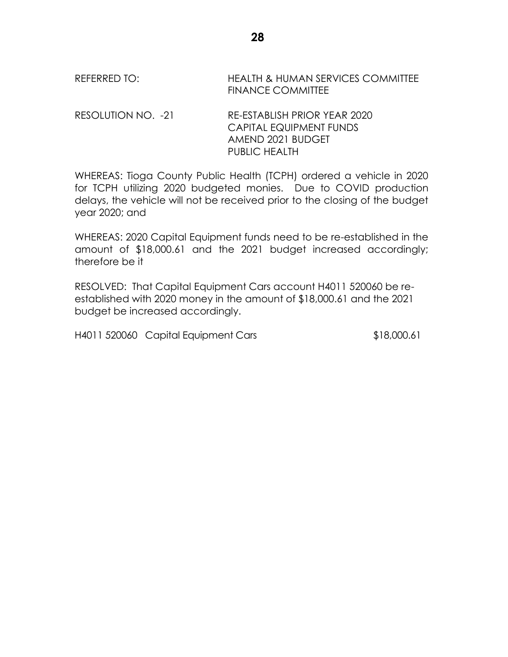REFERRED TO: HEALTH & HUMAN SERVICES COMMITTEE FINANCE COMMITTEE RESOLUTION NO. -21 RE-ESTABLISH PRIOR YEAR 2020

CAPITAL EQUIPMENT FUNDS AMEND 2021 BUDGET PUBLIC HEALTH

WHEREAS: Tioga County Public Health (TCPH) ordered a vehicle in 2020 for TCPH utilizing 2020 budgeted monies. Due to COVID production delays, the vehicle will not be received prior to the closing of the budget year 2020; and

WHEREAS: 2020 Capital Equipment funds need to be re-established in the amount of \$18,000.61 and the 2021 budget increased accordingly; therefore be it

RESOLVED: That Capital Equipment Cars account H4011 520060 be reestablished with 2020 money in the amount of \$18,000.61 and the 2021 budget be increased accordingly.

H4011 520060 Capital Equipment Cars \$18,000.61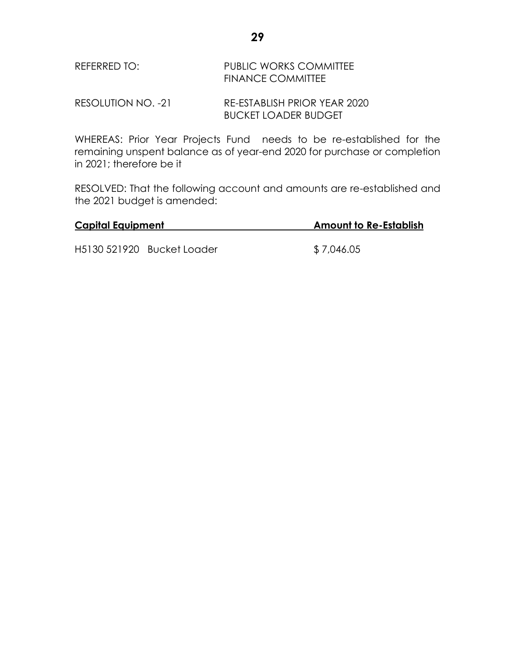| REFERRED TO: | <b>PUBLIC WORKS COMMITTEE</b> |
|--------------|-------------------------------|
|              | <b>FINANCE COMMITTEE</b>      |

RESOLUTION NO. -21 RE-ESTABLISH PRIOR YEAR 2020 BUCKET LOADER BUDGET

WHEREAS: Prior Year Projects Fund needs to be re-established for the remaining unspent balance as of year-end 2020 for purchase or completion in 2021; therefore be it

RESOLVED: That the following account and amounts are re-established and the 2021 budget is amended:

| <b>Capital Equipment</b> | <b>Amount to Re-Establish</b> |
|--------------------------|-------------------------------|
|                          |                               |

H5130 521920 Bucket Loader \$7,046.05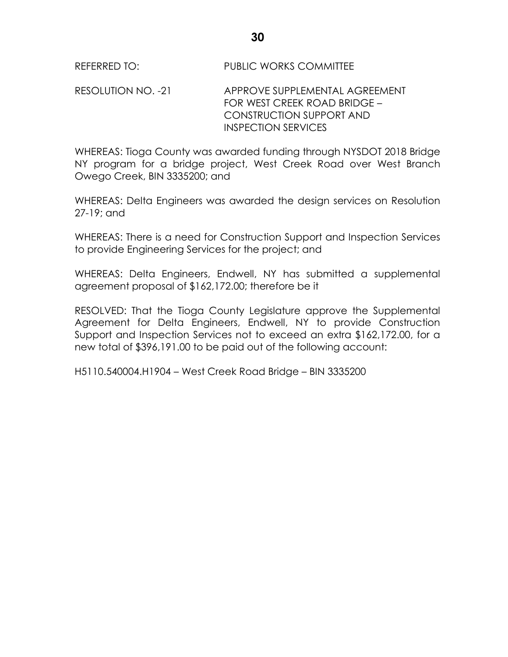RESOLUTION NO. -21 APPROVE SUPPLEMENTAL AGREEMENT FOR WEST CREEK ROAD BRIDGE – CONSTRUCTION SUPPORT AND INSPECTION SERVICES

WHEREAS: Tioga County was awarded funding through NYSDOT 2018 Bridge NY program for a bridge project, West Creek Road over West Branch Owego Creek, BIN 3335200; and

WHEREAS: Delta Engineers was awarded the design services on Resolution 27-19; and

WHEREAS: There is a need for Construction Support and Inspection Services to provide Engineering Services for the project; and

WHEREAS: Delta Engineers, Endwell, NY has submitted a supplemental agreement proposal of \$162,172.00; therefore be it

RESOLVED: That the Tioga County Legislature approve the Supplemental Agreement for Delta Engineers, Endwell, NY to provide Construction Support and Inspection Services not to exceed an extra \$162,172.00, for a new total of \$396,191.00 to be paid out of the following account:

H5110.540004.H1904 – West Creek Road Bridge – BIN 3335200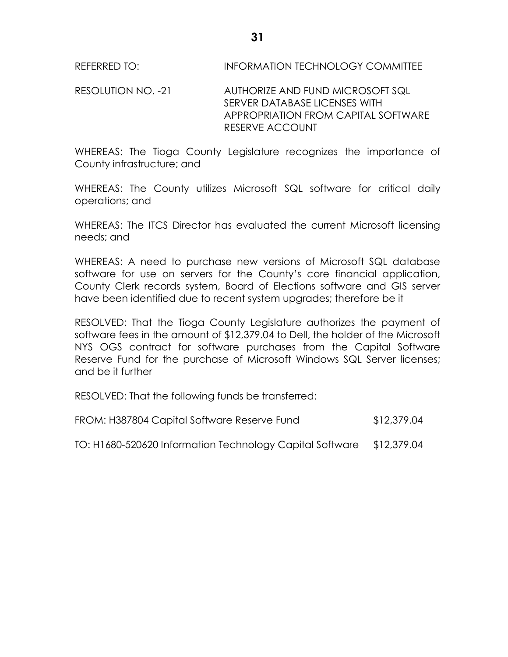RESOLUTION NO. -21 AUTHORIZE AND FUND MICROSOFT SQL SERVER DATABASE LICENSES WITH APPROPRIATION FROM CAPITAL SOFTWARE RESERVE ACCOUNT

WHEREAS: The Tioga County Legislature recognizes the importance of County infrastructure; and

WHEREAS: The County utilizes Microsoft SQL software for critical daily operations; and

WHEREAS: The ITCS Director has evaluated the current Microsoft licensing needs; and

WHEREAS: A need to purchase new versions of Microsoft SQL database software for use on servers for the County's core financial application, County Clerk records system, Board of Elections software and GIS server have been identified due to recent system upgrades; therefore be it

RESOLVED: That the Tioga County Legislature authorizes the payment of software fees in the amount of \$12,379.04 to Dell, the holder of the Microsoft NYS OGS contract for software purchases from the Capital Software Reserve Fund for the purchase of Microsoft Windows SQL Server licenses; and be it further

RESOLVED: That the following funds be transferred:

| FROM: H387804 Capital Software Reserve Fund              | \$12,379.04 |
|----------------------------------------------------------|-------------|
| TO: H1680-520620 Information Technology Capital Software | \$12,379.04 |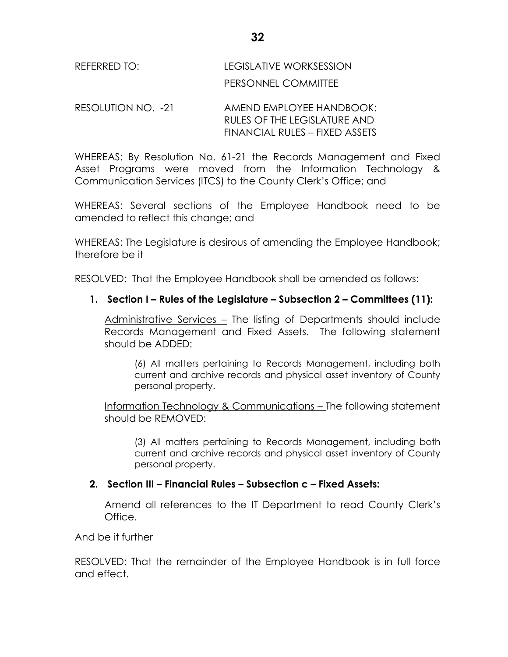# REFERRED TO: LEGISLATIVE WORKSESSION PERSONNEL COMMITTEE

RESOLUTION NO. -21 AMEND EMPLOYEE HANDBOOK: RULES OF THE LEGISLATURE AND FINANCIAL RULES – FIXED ASSETS

WHEREAS: By Resolution No. 61-21 the Records Management and Fixed Asset Programs were moved from the Information Technology & Communication Services (ITCS) to the County Clerk's Office; and

WHEREAS: Several sections of the Employee Handbook need to be amended to reflect this change; and

WHEREAS: The Legislature is desirous of amending the Employee Handbook; therefore be it

RESOLVED: That the Employee Handbook shall be amended as follows:

## **1. Section I – Rules of the Legislature – Subsection 2 – Committees (11):**

Administrative Services – The listing of Departments should include Records Management and Fixed Assets. The following statement should be ADDED:

(6) All matters pertaining to Records Management, including both current and archive records and physical asset inventory of County personal property.

Information Technology & Communications – The following statement should be REMOVED:

(3) All matters pertaining to Records Management, including both current and archive records and physical asset inventory of County personal property.

## **2. Section III – Financial Rules – Subsection c – Fixed Assets:**

Amend all references to the IT Department to read County Clerk's Office.

And be it further

RESOLVED: That the remainder of the Employee Handbook is in full force and effect.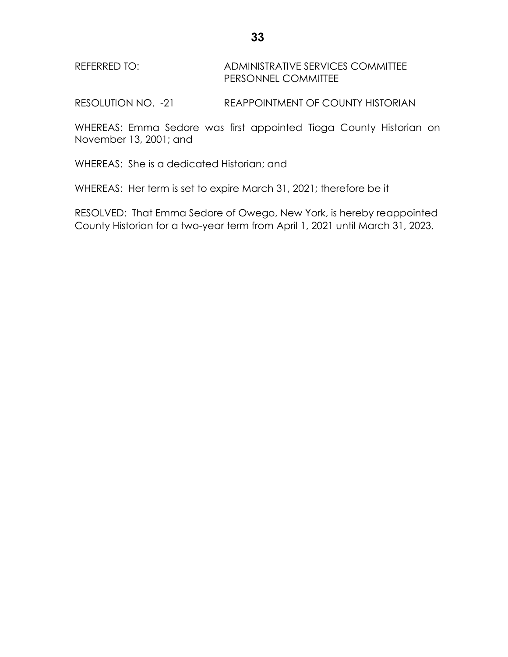REFERRED TO: ADMINISTRATIVE SERVICES COMMITTEE PERSONNEL COMMITTEE

RESOLUTION NO. -21 REAPPOINTMENT OF COUNTY HISTORIAN

WHEREAS: Emma Sedore was first appointed Tioga County Historian on November 13, 2001; and

WHEREAS: She is a dedicated Historian; and

WHEREAS: Her term is set to expire March 31, 2021; therefore be it

RESOLVED: That Emma Sedore of Owego, New York, is hereby reappointed County Historian for a two-year term from April 1, 2021 until March 31, 2023.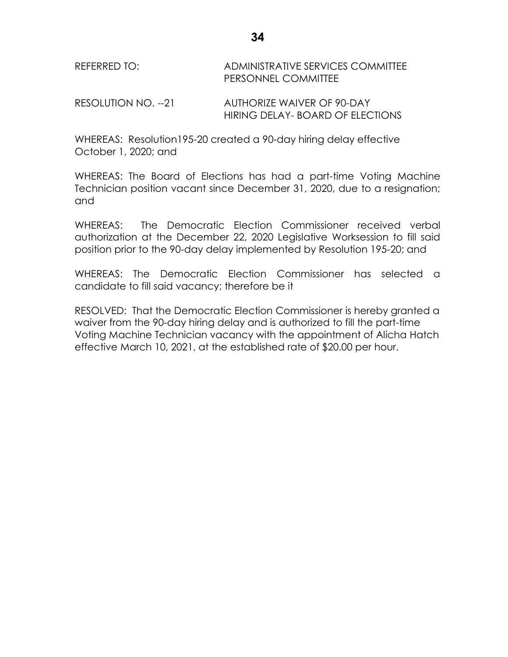| REFERRED TO: | ADMINISTRATIVE SERVICES COMMITTEE |
|--------------|-----------------------------------|
|              | PERSONNEL COMMITTEE               |

RESOLUTION NO. --21 AUTHORIZE WAIVER OF 90-DAY HIRING DELAY- BOARD OF ELECTIONS

WHEREAS: Resolution195-20 created a 90-day hiring delay effective October 1, 2020; and

WHEREAS: The Board of Elections has had a part-time Voting Machine Technician position vacant since December 31, 2020, due to a resignation; and

WHEREAS: The Democratic Election Commissioner received verbal authorization at the December 22, 2020 Legislative Worksession to fill said position prior to the 90-day delay implemented by Resolution 195-20; and

WHEREAS: The Democratic Election Commissioner has selected a candidate to fill said vacancy; therefore be it

RESOLVED: That the Democratic Election Commissioner is hereby granted a waiver from the 90-day hiring delay and is authorized to fill the part-time Voting Machine Technician vacancy with the appointment of Alicha Hatch effective March 10, 2021, at the established rate of \$20.00 per hour.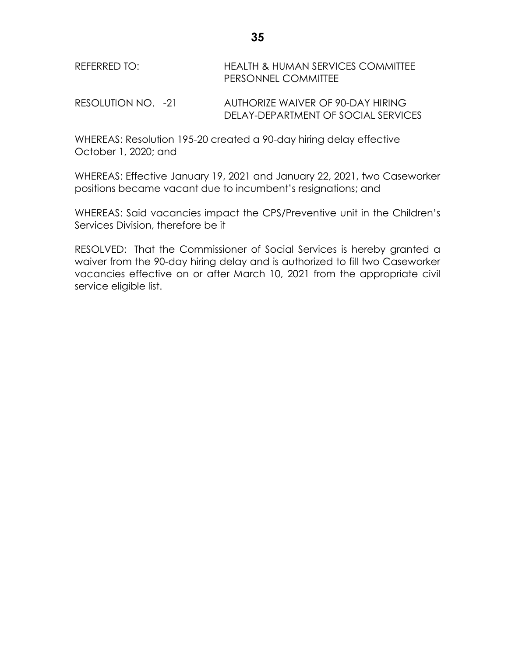| REFERRED TO:       | <b>HEALTH &amp; HUMAN SERVICES COMMITTEE</b><br><b>PERSONNEL COMMITTEE</b> |
|--------------------|----------------------------------------------------------------------------|
| RESOLUTION NO. -21 | AUTHORIZE WAIVER OF 90-DAY HIRING                                          |

DELAY-DEPARTMENT OF SOCIAL SERVICES

WHEREAS: Resolution 195-20 created a 90-day hiring delay effective October 1, 2020; and

WHEREAS: Effective January 19, 2021 and January 22, 2021, two Caseworker positions became vacant due to incumbent's resignations; and

WHEREAS: Said vacancies impact the CPS/Preventive unit in the Children's Services Division, therefore be it

RESOLVED: That the Commissioner of Social Services is hereby granted a waiver from the 90-day hiring delay and is authorized to fill two Caseworker vacancies effective on or after March 10, 2021 from the appropriate civil service eligible list.